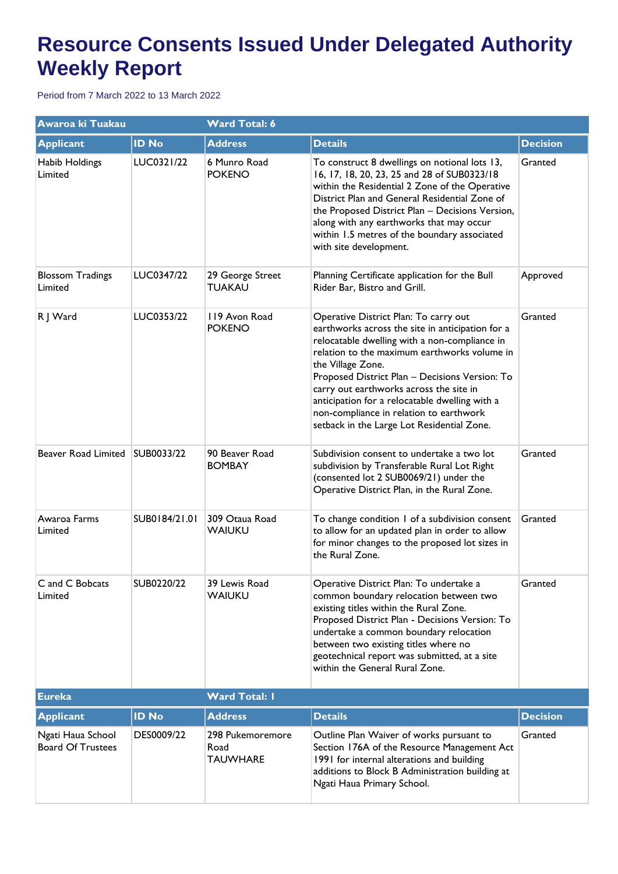## **Resource Consents Issued Under Delegated Authority Weekly Report**

Period from 7 March 2022 to 13 March 2022

| <b>Awaroa ki Tuakau</b>                       |               | <b>Ward Total: 6</b>                        |                                                                                                                                                                                                                                                                                                                                                                                                                                                         |                 |  |
|-----------------------------------------------|---------------|---------------------------------------------|---------------------------------------------------------------------------------------------------------------------------------------------------------------------------------------------------------------------------------------------------------------------------------------------------------------------------------------------------------------------------------------------------------------------------------------------------------|-----------------|--|
| <b>Applicant</b>                              | <b>ID No</b>  | <b>Address</b>                              | <b>Details</b>                                                                                                                                                                                                                                                                                                                                                                                                                                          | <b>Decision</b> |  |
| Habib Holdings<br>Limited                     | LUC0321/22    | 6 Munro Road<br><b>POKENO</b>               | To construct 8 dwellings on notional lots 13,<br>16, 17, 18, 20, 23, 25 and 28 of SUB0323/18<br>within the Residential 2 Zone of the Operative<br>District Plan and General Residential Zone of<br>the Proposed District Plan - Decisions Version,<br>along with any earthworks that may occur<br>within 1.5 metres of the boundary associated<br>with site development.                                                                                | Granted         |  |
| <b>Blossom Tradings</b><br>Limited            | LUC0347/22    | 29 George Street<br><b>TUAKAU</b>           | Planning Certificate application for the Bull<br>Rider Bar, Bistro and Grill.                                                                                                                                                                                                                                                                                                                                                                           | Approved        |  |
| R J Ward                                      | LUC0353/22    | 119 Avon Road<br><b>POKENO</b>              | Operative District Plan: To carry out<br>earthworks across the site in anticipation for a<br>relocatable dwelling with a non-compliance in<br>relation to the maximum earthworks volume in<br>the Village Zone.<br>Proposed District Plan - Decisions Version: To<br>carry out earthworks across the site in<br>anticipation for a relocatable dwelling with a<br>non-compliance in relation to earthwork<br>setback in the Large Lot Residential Zone. | Granted         |  |
| Beaver Road Limited SUB0033/22                |               | 90 Beaver Road<br><b>BOMBAY</b>             | Subdivision consent to undertake a two lot<br>subdivision by Transferable Rural Lot Right<br>(consented lot 2 SUB0069/21) under the<br>Operative District Plan, in the Rural Zone.                                                                                                                                                                                                                                                                      | Granted         |  |
| Awaroa Farms<br>Limited                       | SUB0184/21.01 | 309 Otaua Road<br><b>WAIUKU</b>             | To change condition 1 of a subdivision consent<br>to allow for an updated plan in order to allow<br>for minor changes to the proposed lot sizes in<br>the Rural Zone.                                                                                                                                                                                                                                                                                   | Granted         |  |
| C and C Bobcats<br>Limited                    | SUB0220/22    | 39 Lewis Road<br>WAIUKU                     | Operative District Plan: To undertake a<br>common boundary relocation between two<br>existing titles within the Rural Zone.<br>Proposed District Plan - Decisions Version: To<br>undertake a common boundary relocation<br>between two existing titles where no<br>geotechnical report was submitted, at a site<br>within the General Rural Zone.                                                                                                       | Granted         |  |
| <b>Eureka</b>                                 |               | <b>Ward Total: I</b>                        |                                                                                                                                                                                                                                                                                                                                                                                                                                                         |                 |  |
| <b>Applicant</b>                              | <b>ID No</b>  | <b>Address</b>                              | <b>Details</b>                                                                                                                                                                                                                                                                                                                                                                                                                                          | <b>Decision</b> |  |
| Ngati Haua School<br><b>Board Of Trustees</b> | DES0009/22    | 298 Pukemoremore<br>Road<br><b>TAUWHARE</b> | Outline Plan Waiver of works pursuant to<br>Section 176A of the Resource Management Act<br>1991 for internal alterations and building<br>additions to Block B Administration building at<br>Ngati Haua Primary School.                                                                                                                                                                                                                                  | Granted         |  |